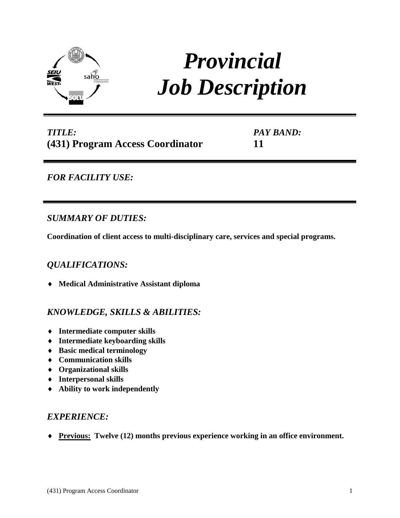

# *Provincial Job Description*

# *TITLE:* **(431) Program Access Coordinator**

*PAY BAND:* **11**

# *FOR FACILITY USE:*

## *SUMMARY OF DUTIES:*

**Coordination of client access to multi-disciplinary care, services and special programs.**

# *QUALIFICATIONS:*

♦ **Medical Administrative Assistant diploma**

# *KNOWLEDGE, SKILLS & ABILITIES:*

- ♦ **Intermediate computer skills**
- ♦ **Intermediate keyboarding skills**
- ♦ **Basic medical terminology**
- ♦ **Communication skills**
- ♦ **Organizational skills**
- ♦ **Interpersonal skills**
- ♦ **Ability to work independently**

## *EXPERIENCE:*

♦ **Previous: Twelve (12) months previous experience working in an office environment.**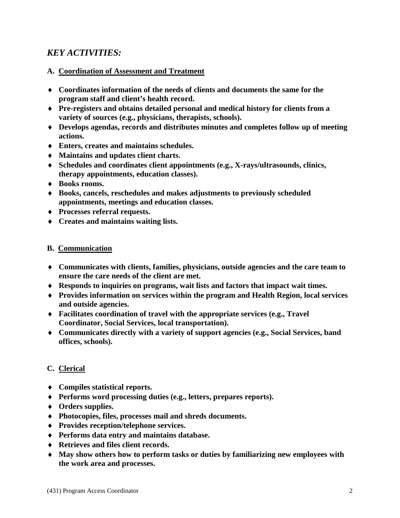## *KEY ACTIVITIES:*

#### **A. Coordination of Assessment and Treatment**

- ♦ **Coordinates information of the needs of clients and documents the same for the program staff and client's health record.**
- ♦ **Pre-registers and obtains detailed personal and medical history for clients from a variety of sources (e.g., physicians, therapists, schools).**
- ♦ **Develops agendas, records and distributes minutes and completes follow up of meeting actions.**
- ♦ **Enters, creates and maintains schedules.**
- ♦ **Maintains and updates client charts.**
- ♦ **Schedules and coordinates client appointments (e.g., X-rays/ultrasounds, clinics, therapy appointments, education classes).**
- ♦ **Books rooms.**
- ♦ **Books, cancels, reschedules and makes adjustments to previously scheduled appointments, meetings and education classes.**
- ♦ **Processes referral requests.**
- ♦ **Creates and maintains waiting lists.**

#### **B. Communication**

- ♦ **Communicates with clients, families, physicians, outside agencies and the care team to ensure the care needs of the client are met.**
- ♦ **Responds to inquiries on programs, wait lists and factors that impact wait times.**
- ♦ **Provides information on services within the program and Health Region, local services and outside agencies.**
- ♦ **Facilitates coordination of travel with the appropriate services (e.g., Travel Coordinator, Social Services, local transportation).**
- ♦ **Communicates directly with a variety of support agencies (e.g., Social Services, band offices, schools).**

### **C. Clerical**

- ♦ **Compiles statistical reports.**
- ♦ **Performs word processing duties (e.g., letters, prepares reports).**
- ♦ **Orders supplies.**
- ♦ **Photocopies, files, processes mail and shreds documents.**
- ♦ **Provides reception/telephone services.**
- ♦ **Performs data entry and maintains database.**
- ♦ **Retrieves and files client records.**
- ♦ **May show others how to perform tasks or duties by familiarizing new employees with the work area and processes.**